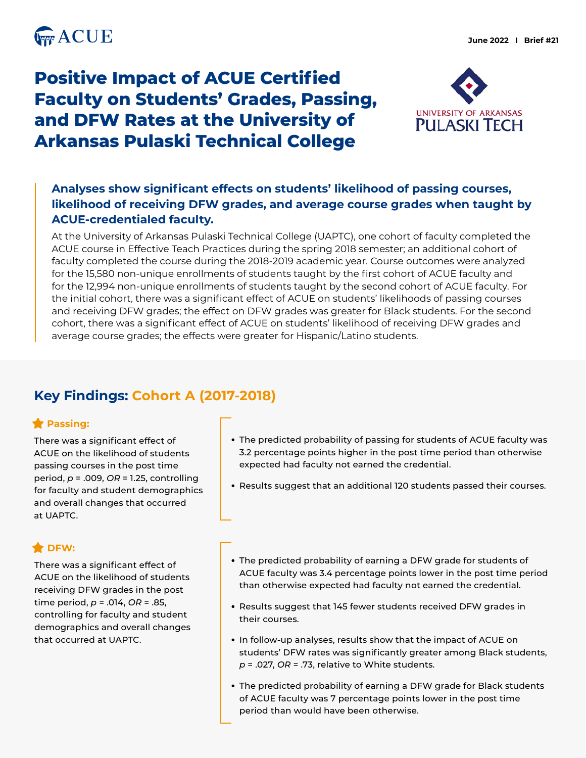

# **Positive Impact of ACUE Certified Faculty on Students' Grades, Passing, and DFW Rates at the University of Arkansas Pulaski Technical College**



### **Analyses show significant effects on students' likelihood of passing courses, likelihood of receiving DFW grades, and average course grades when taught by ACUE-credentialed faculty.**

At the University of Arkansas Pulaski Technical College (UAPTC), one cohort of faculty completed the ACUE course in Effective Teach Practices during the spring 2018 semester; an additional cohort of faculty completed the course during the 2018-2019 academic year. Course outcomes were analyzed for the 15,580 non-unique enrollments of students taught by the first cohort of ACUE faculty and for the 12,994 non-unique enrollments of students taught by the second cohort of ACUE faculty. For the initial cohort, there was a significant effect of ACUE on students' likelihoods of passing courses and receiving DFW grades; the effect on DFW grades was greater for Black students. For the second cohort, there was a significant effect of ACUE on students' likelihood of receiving DFW grades and average course grades; the effects were greater for Hispanic/Latino students.

# **Key Findings: Cohort A (2017-2018)**

#### **Passing:**

There was a significant effect of ACUE on the likelihood of students passing courses in the post time period, *p* = .009, *OR* = 1.25, controlling for faculty and student demographics and overall changes that occurred at UAPTC.

#### **DFW:**

There was a significant effect of ACUE on the likelihood of students receiving DFW grades in the post time period, *p* = .014, *OR* = .85, controlling for faculty and student demographics and overall changes that occurred at UAPTC.

- The predicted probability of passing for students of ACUE faculty was 3.2 percentage points higher in the post time period than otherwise expected had faculty not earned the credential.
- Results suggest that an additional 120 students passed their courses.
- The predicted probability of earning a DFW grade for students of ACUE faculty was 3.4 percentage points lower in the post time period than otherwise expected had faculty not earned the credential.
- Results suggest that 145 fewer students received DFW grades in their courses.
- In follow-up analyses, results show that the impact of ACUE on students' DFW rates was significantly greater among Black students, *p* = .027, *OR* = .73, relative to White students.
- The predicted probability of earning a DFW grade for Black students of ACUE faculty was 7 percentage points lower in the post time period than would have been otherwise.